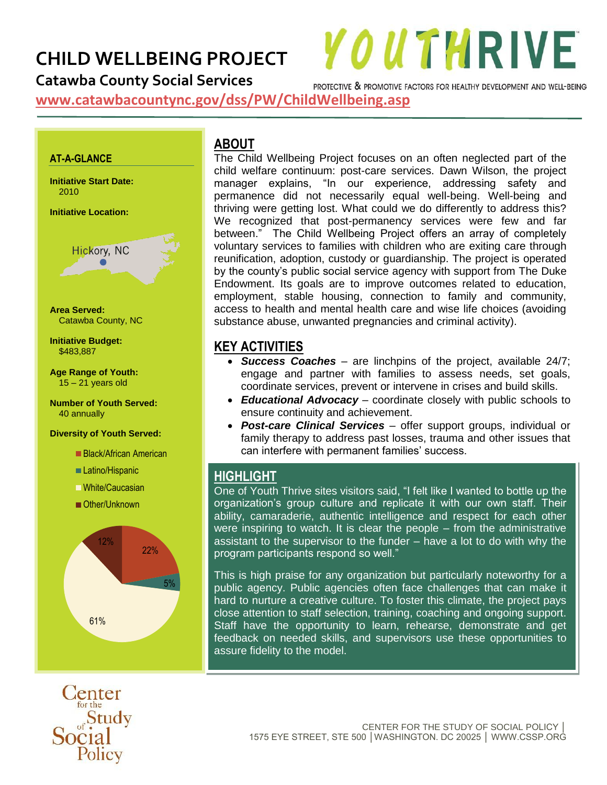## **CHILD WELLBEING PROJECT**

**Catawba County Social Services**

PROTECTIVE & PROMOTIVE FACTORS FOR HEALTHY DEVELOPMENT AND WELL-BEING

**YOUTHRIVE** 

**www.catawbacountync.gov/dss/PW/ChildWellbeing.asp**

#### **AT-A-GLANCE**

**Initiative Start Date:** 2010

**Initiative Location:**



**Area Served:**  Catawba County, NC

#### **Initiative Budget:** \$483,887

**Age Range of Youth:**  $15 - 21$  years old

**Number of Youth Served:** 40 annually

#### **Diversity of Youth Served:**

- Black/African American
- ■Latino/Hispanic
- White/Caucasian
- Other/Unknown



enter for the Social<br>Social

## **ABOUT**

The Child Wellbeing Project focuses on an often neglected part of the child welfare continuum: post-care services. Dawn Wilson, the project manager explains, "In our experience, addressing safety and permanence did not necessarily equal well-being. Well-being and thriving were getting lost. What could we do differently to address this? We recognized that post-permanency services were few and far between." The Child Wellbeing Project offers an array of completely voluntary services to families with children who are exiting care through reunification, adoption, custody or guardianship. The project is operated by the county's public social service agency with support from The Duke Endowment. Its goals are to improve outcomes related to education, employment, stable housing, connection to family and community, access to health and mental health care and wise life choices (avoiding substance abuse, unwanted pregnancies and criminal activity).

#### **KEY ACTIVITIES**

- *Success Coaches* are linchpins of the project, available 24/7; engage and partner with families to assess needs, set goals, coordinate services, prevent or intervene in crises and build skills.
- *Educational Advocacy* coordinate closely with public schools to ensure continuity and achievement.
- *Post-care Clinical Services* offer support groups, individual or family therapy to address past losses, trauma and other issues that can interfere with permanent families' success.

## **HIGHLIGHT**

One of Youth Thrive sites visitors said, "I felt like I wanted to bottle up the organization's group culture and replicate it with our own staff. Their ability, camaraderie, authentic intelligence and respect for each other were inspiring to watch. It is clear the people – from the administrative assistant to the supervisor to the funder – have a lot to do with why the program participants respond so well."

This is high praise for any organization but particularly noteworthy for a public agency. Public agencies often face challenges that can make it hard to nurture a creative culture. To foster this climate, the project pays close attention to staff selection, training, coaching and ongoing support. Staff have the opportunity to learn, rehearse, demonstrate and get feedback on needed skills, and supervisors use these opportunities to assure fidelity to the model.